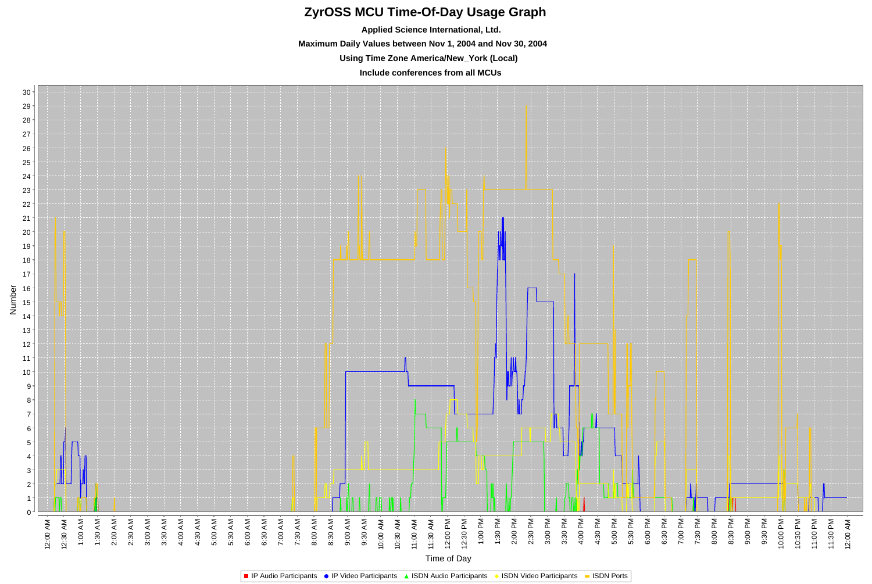## **ZyrOSS MCU Time-Of-Day Usage Graph**

**Applied Science International, Ltd. Maximum Daily Values between Nov 1, 2004 and Nov 30, 2004 Using Time Zone America/New\_York (Local)**

**Include conferences from all MCUs**

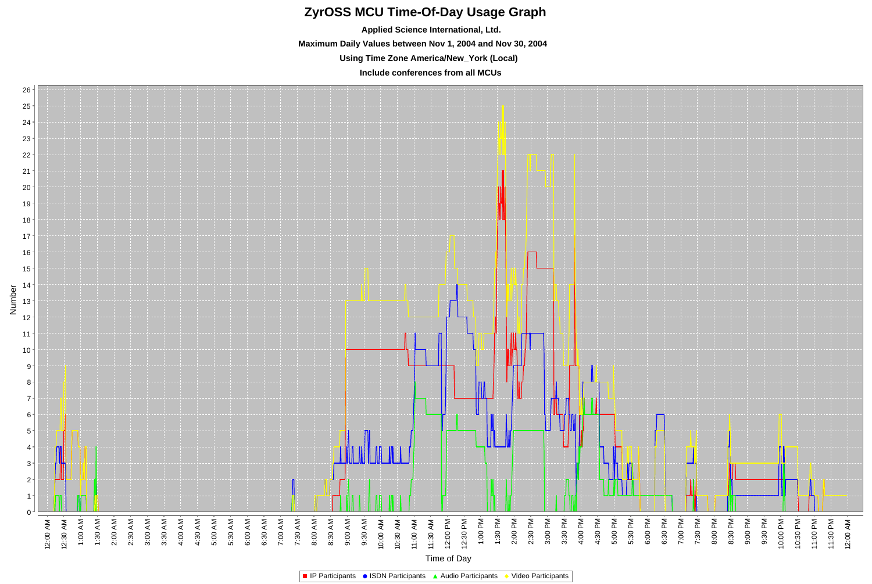## **ZyrOSS MCU Time-Of-Day Usage Graph**

**Applied Science International, Ltd. Maximum Daily Values between Nov 1, 2004 and Nov 30, 2004 Using Time Zone America/New\_York (Local) Include conferences from all MCUs**



**IP Participants • ISDN Participants • Audio Participants • Video Participants**